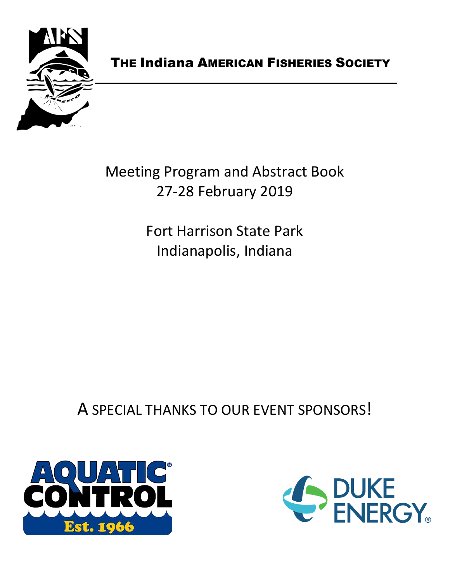

# THE Indiana AMERICAN FISHERIES SOCIETY

Meeting Program and Abstract Book 27-28 February 2019

> Fort Harrison State Park Indianapolis, Indiana

A SPECIAL THANKS TO OUR EVENT SPONSORS!



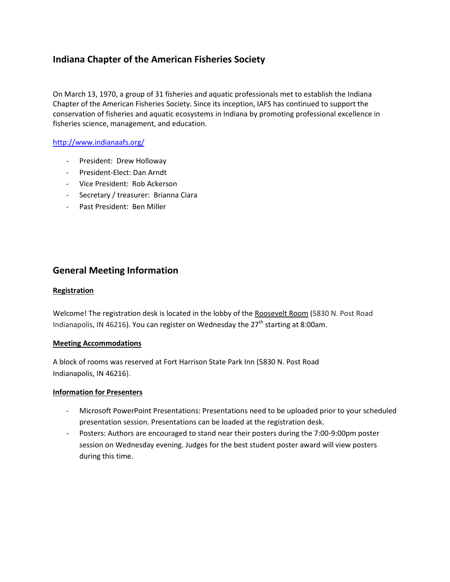# **Indiana Chapter of the American Fisheries Society**

On March 13, 1970, a group of 31 fisheries and aquatic professionals met to establish the Indiana Chapter of the American Fisheries Society. Since its inception, IAFS has continued to support the conservation of fisheries and aquatic ecosystems in Indiana by promoting professional excellence in fisheries science, management, and education.

## <http://www.indianaafs.org/>

- President: Drew Holloway
- President-Elect: Dan Arndt
- Vice President: Rob Ackerson
- Secretary / treasurer: Brianna Ciara
- Past President: Ben Miller

# **General Meeting Information**

#### **Registration**

Welcome! The registration desk is located in the lobby of the Roosevelt Room (5830 N. Post Road Indianapolis, IN 46216). You can register on Wednesday the  $27<sup>th</sup>$  starting at 8:00am.

### **Meeting Accommodations**

A block of rooms was reserved at Fort Harrison State Park Inn (5830 N. Post Road Indianapolis, IN 46216).

### **Information for Presenters**

- Microsoft PowerPoint Presentations: Presentations need to be uploaded prior to your scheduled presentation session. Presentations can be loaded at the registration desk.
- Posters: Authors are encouraged to stand near their posters during the 7:00-9:00pm poster session on Wednesday evening. Judges for the best student poster award will view posters during this time.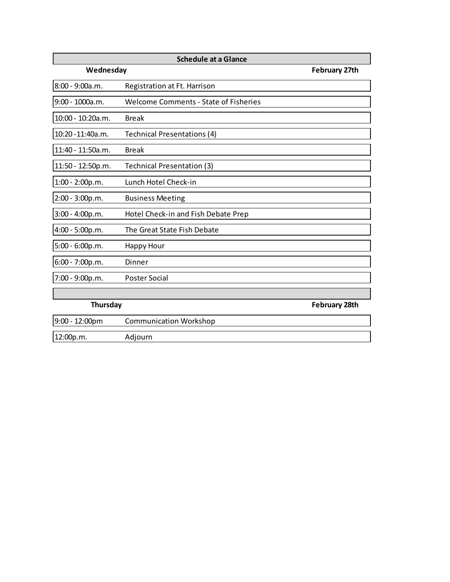| <b>Schedule at a Glance</b> |                                              |                      |  |
|-----------------------------|----------------------------------------------|----------------------|--|
| Wednesday                   |                                              | <b>February 27th</b> |  |
| 8:00 - 9:00a.m.             | Registration at Ft. Harrison                 |                      |  |
| 9:00 - 1000a.m.             | <b>Welcome Comments - State of Fisheries</b> |                      |  |
| 10:00 - 10:20a.m.           | <b>Break</b>                                 |                      |  |
| 10:20 - 11:40a.m.           | Technical Presentations (4)                  |                      |  |
| 11:40 - 11:50a.m.           | <b>Break</b>                                 |                      |  |
| 11:50 - 12:50p.m.           | Technical Presentation (3)                   |                      |  |
| $1:00 - 2:00p.m.$           | Lunch Hotel Check-in                         |                      |  |
| $2:00 - 3:00p.m.$           | <b>Business Meeting</b>                      |                      |  |
| $3:00 - 4:00p.m.$           | Hotel Check-in and Fish Debate Prep          |                      |  |
| 4:00 - 5:00p.m.             | The Great State Fish Debate                  |                      |  |
| 5:00 - 6:00p.m.             | <b>Happy Hour</b>                            |                      |  |
| 6:00 - 7:00p.m.             | Dinner                                       |                      |  |
| 7:00 - 9:00p.m.             | Poster Social                                |                      |  |
|                             |                                              |                      |  |
| Thursday                    |                                              | <b>February 28th</b> |  |
| 9:00 - 12:00pm              | <b>Communication Workshop</b>                |                      |  |
| 12:00p.m.                   | Adjourn                                      |                      |  |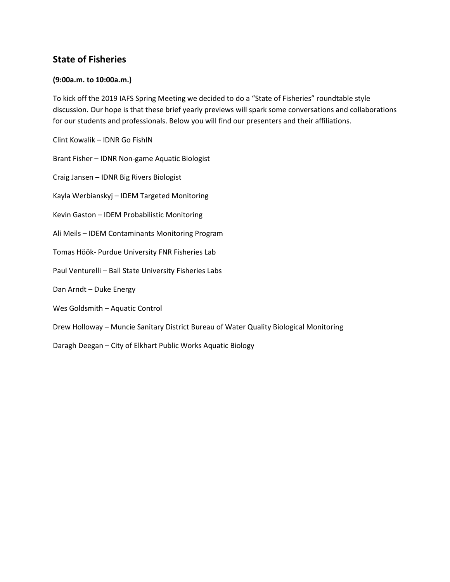# **State of Fisheries**

## **(9:00a.m. to 10:00a.m.)**

To kick off the 2019 IAFS Spring Meeting we decided to do a "State of Fisheries" roundtable style discussion. Our hope is that these brief yearly previews will spark some conversations and collaborations for our students and professionals. Below you will find our presenters and their affiliations.

Clint Kowalik – IDNR Go FishIN

Brant Fisher – IDNR Non-game Aquatic Biologist

Craig Jansen – IDNR Big Rivers Biologist

Kayla Werbianskyj – IDEM Targeted Monitoring

Kevin Gaston – IDEM Probabilistic Monitoring

Ali Meils – IDEM Contaminants Monitoring Program

Tomas Höök- Purdue University FNR Fisheries Lab

Paul Venturelli – Ball State University Fisheries Labs

Dan Arndt – Duke Energy

Wes Goldsmith – Aquatic Control

Drew Holloway – Muncie Sanitary District Bureau of Water Quality Biological Monitoring

Daragh Deegan – City of Elkhart Public Works Aquatic Biology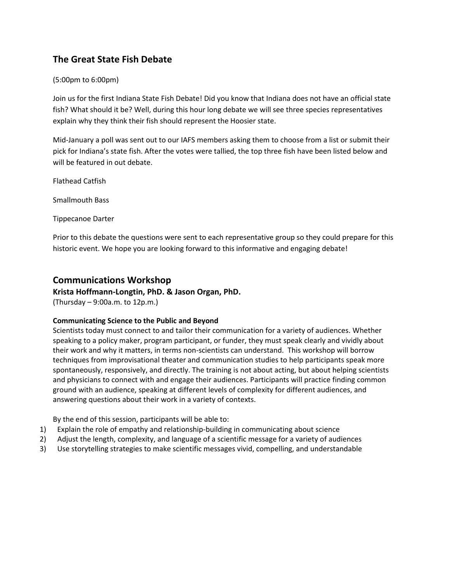# **The Great State Fish Debate**

## (5:00pm to 6:00pm)

Join us for the first Indiana State Fish Debate! Did you know that Indiana does not have an official state fish? What should it be? Well, during this hour long debate we will see three species representatives explain why they think their fish should represent the Hoosier state.

Mid-January a poll was sent out to our IAFS members asking them to choose from a list or submit their pick for Indiana's state fish. After the votes were tallied, the top three fish have been listed below and will be featured in out debate.

Flathead Catfish

Smallmouth Bass

Tippecanoe Darter

Prior to this debate the questions were sent to each representative group so they could prepare for this historic event. We hope you are looking forward to this informative and engaging debate!

## **Communications Workshop**

## **Krista Hoffmann-Longtin, PhD. & Jason Organ, PhD.**

(Thursday – 9:00a.m. to 12p.m.)

### **Communicating Science to the Public and Beyond**

Scientists today must connect to and tailor their communication for a variety of audiences. Whether speaking to a policy maker, program participant, or funder, they must speak clearly and vividly about their work and why it matters, in terms non-scientists can understand. This workshop will borrow techniques from improvisational theater and communication studies to help participants speak more spontaneously, responsively, and directly. The training is not about acting, but about helping scientists and physicians to connect with and engage their audiences. Participants will practice finding common ground with an audience, speaking at different levels of complexity for different audiences, and answering questions about their work in a variety of contexts.

By the end of this session, participants will be able to:

- 1) Explain the role of empathy and relationship-building in communicating about science
- 2) Adjust the length, complexity, and language of a scientific message for a variety of audiences
- 3) Use storytelling strategies to make scientific messages vivid, compelling, and understandable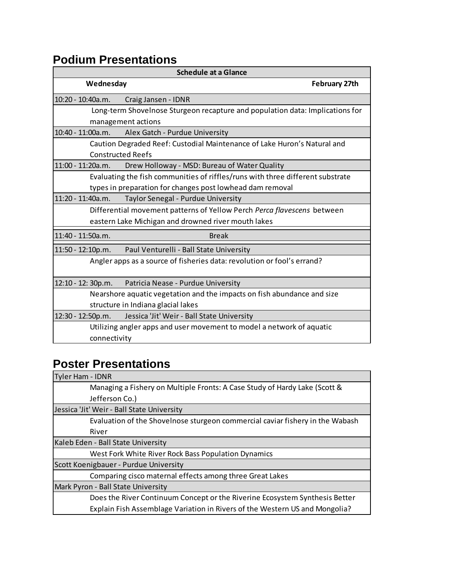# **Podium Presentations**

| <b>Schedule at a Glance</b>                                                    |                                                                         |  |  |
|--------------------------------------------------------------------------------|-------------------------------------------------------------------------|--|--|
| Wednesday                                                                      | <b>February 27th</b>                                                    |  |  |
| 10:20 - 10:40a.m.                                                              | Craig Jansen - IDNR                                                     |  |  |
| Long-term Shovelnose Sturgeon recapture and population data: Implications for  |                                                                         |  |  |
| management actions                                                             |                                                                         |  |  |
| 10:40 - 11:00a.m.                                                              | Alex Gatch - Purdue University                                          |  |  |
| Caution Degraded Reef: Custodial Maintenance of Lake Huron's Natural and       |                                                                         |  |  |
| <b>Constructed Reefs</b>                                                       |                                                                         |  |  |
| 11:00 - 11:20a.m.                                                              | Drew Holloway - MSD: Bureau of Water Quality                            |  |  |
| Evaluating the fish communities of riffles/runs with three different substrate |                                                                         |  |  |
| types in preparation for changes post lowhead dam removal                      |                                                                         |  |  |
| 11:20 - 11:40a.m.                                                              | Taylor Senegal - Purdue University                                      |  |  |
| Differential movement patterns of Yellow Perch Perca flavescens between        |                                                                         |  |  |
| eastern Lake Michigan and drowned river mouth lakes                            |                                                                         |  |  |
| 11:40 - 11:50a.m.                                                              | <b>Break</b>                                                            |  |  |
| 11:50 - 12:10p.m.                                                              | Paul Venturelli - Ball State University                                 |  |  |
| Angler apps as a source of fisheries data: revolution or fool's errand?        |                                                                         |  |  |
| 12:10 - 12: 30p.m.                                                             | Patricia Nease - Purdue University                                      |  |  |
|                                                                                | Nearshore aquatic vegetation and the impacts on fish abundance and size |  |  |
| structure in Indiana glacial lakes                                             |                                                                         |  |  |
| 12:30 - 12:50p.m.                                                              | Jessica 'Jit' Weir - Ball State University                              |  |  |
|                                                                                | Utilizing angler apps and user movement to model a network of aquatic   |  |  |
| connectivity                                                                   |                                                                         |  |  |

# **Poster Presentations**

| <b>Tyler Ham - IDNR</b>                                                       |  |  |
|-------------------------------------------------------------------------------|--|--|
| Managing a Fishery on Multiple Fronts: A Case Study of Hardy Lake (Scott &    |  |  |
| Jefferson Co.)                                                                |  |  |
| Jessica 'Jit' Weir - Ball State University                                    |  |  |
| Evaluation of the Shovelnose sturgeon commercial caviar fishery in the Wabash |  |  |
| River                                                                         |  |  |
| Kaleb Eden - Ball State University                                            |  |  |
| West Fork White River Rock Bass Population Dynamics                           |  |  |
| Scott Koenigbauer - Purdue University                                         |  |  |
| Comparing cisco maternal effects among three Great Lakes                      |  |  |
| Mark Pyron - Ball State University                                            |  |  |
| Does the River Continuum Concept or the Riverine Ecosystem Synthesis Better   |  |  |
| Explain Fish Assemblage Variation in Rivers of the Western US and Mongolia?   |  |  |
|                                                                               |  |  |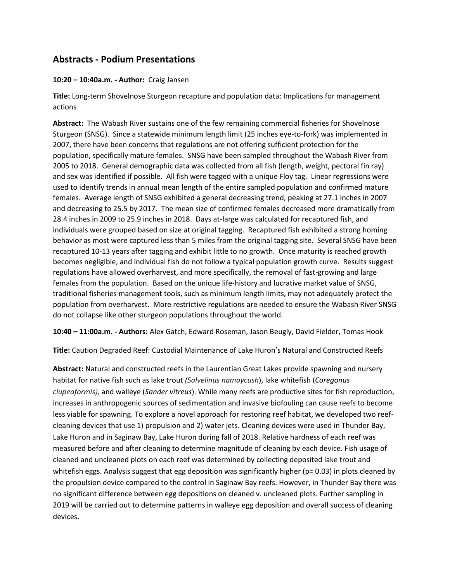# **Abstracts - Podium Presentations**

#### **10:20 – 10:40a.m. - Author:** Craig Jansen

**Title:** Long-term Shovelnose Sturgeon recapture and population data: Implications for management actions

**Abstract:** The Wabash River sustains one of the few remaining commercial fisheries for Shovelnose Sturgeon (SNSG). Since a statewide minimum length limit (25 inches eye-to-fork) was implemented in 2007, there have been concerns that regulations are not offering sufficient protection for the population, specifically mature females. SNSG have been sampled throughout the Wabash River from 2005 to 2018. General demographic data was collected from all fish (length, weight, pectoral fin ray) and sex was identified if possible. All fish were tagged with a unique Floy tag. Linear regressions were used to identify trends in annual mean length of the entire sampled population and confirmed mature females. Average length of SNSG exhibited a general decreasing trend, peaking at 27.1 inches in 2007 and decreasing to 25.5 by 2017. The mean size of confirmed females decreased more dramatically from 28.4 inches in 2009 to 25.9 inches in 2018. Days at-large was calculated for recaptured fish, and individuals were grouped based on size at original tagging. Recaptured fish exhibited a strong homing behavior as most were captured less than 5 miles from the original tagging site. Several SNSG have been recaptured 10-13 years after tagging and exhibit little to no growth. Once maturity is reached growth becomes negligible, and individual fish do not follow a typical population growth curve. Results suggest regulations have allowed overharvest, and more specifically, the removal of fast-growing and large females from the population. Based on the unique life-history and lucrative market value of SNSG, traditional fisheries management tools, such as minimum length limits, may not adequately protect the population from overharvest. More restrictive regulations are needed to ensure the Wabash River SNSG do not collapse like other sturgeon populations throughout the world.

**10:40 – 11:00a.m. - Authors:** Alex Gatch, Edward Roseman, Jason Beugly, David Fielder, Tomas Hook

**Title:** Caution Degraded Reef: Custodial Maintenance of Lake Huron's Natural and Constructed Reefs

**Abstract:** Natural and constructed reefs in the Laurentian Great Lakes provide spawning and nursery habitat for native fish such as lake trout *(Salvelinus namaycush*), lake whitefish (*Coregonus clupeaformis),* and walleye (*Sander vitreus*). While many reefs are productive sites for fish reproduction, increases in anthropogenic sources of sedimentation and invasive biofouling can cause reefs to become less viable for spawning. To explore a novel approach for restoring reef habitat, we developed two reefcleaning devices that use 1) propulsion and 2) water jets. Cleaning devices were used in Thunder Bay, Lake Huron and in Saginaw Bay, Lake Huron during fall of 2018. Relative hardness of each reef was measured before and after cleaning to determine magnitude of cleaning by each device. Fish usage of cleaned and uncleaned plots on each reef was determined by collecting deposited lake trout and whitefish eggs. Analysis suggest that egg deposition was significantly higher (p= 0.03) in plots cleaned by the propulsion device compared to the control in Saginaw Bay reefs. However, in Thunder Bay there was no significant difference between egg depositions on cleaned v. uncleaned plots. Further sampling in 2019 will be carried out to determine patterns in walleye egg deposition and overall success of cleaning devices.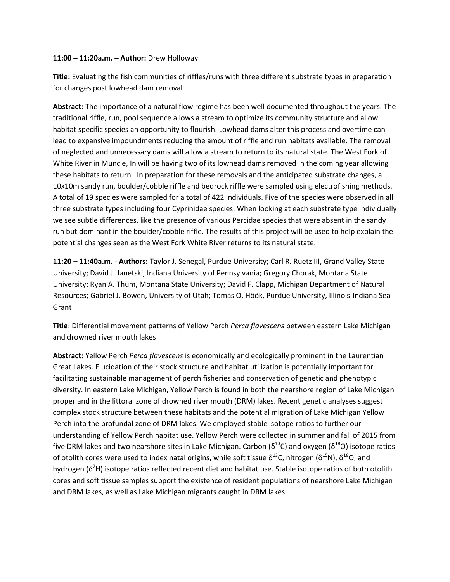#### **11:00 – 11:20a.m. – Author:** Drew Holloway

**Title:** Evaluating the fish communities of riffles/runs with three different substrate types in preparation for changes post lowhead dam removal

**Abstract:** The importance of a natural flow regime has been well documented throughout the years. The traditional riffle, run, pool sequence allows a stream to optimize its community structure and allow habitat specific species an opportunity to flourish. Lowhead dams alter this process and overtime can lead to expansive impoundments reducing the amount of riffle and run habitats available. The removal of neglected and unnecessary dams will allow a stream to return to its natural state. The West Fork of White River in Muncie, In will be having two of its lowhead dams removed in the coming year allowing these habitats to return. In preparation for these removals and the anticipated substrate changes, a 10x10m sandy run, boulder/cobble riffle and bedrock riffle were sampled using electrofishing methods. A total of 19 species were sampled for a total of 422 individuals. Five of the species were observed in all three substrate types including four Cyprinidae species. When looking at each substrate type individually we see subtle differences, like the presence of various Percidae species that were absent in the sandy run but dominant in the boulder/cobble riffle. The results of this project will be used to help explain the potential changes seen as the West Fork White River returns to its natural state.

**11:20 – 11:40a.m. - Authors:** Taylor J. Senegal, Purdue University; Carl R. Ruetz III, Grand Valley State University; David J. Janetski, Indiana University of Pennsylvania; Gregory Chorak, Montana State University; Ryan A. Thum, Montana State University; David F. Clapp, Michigan Department of Natural Resources; Gabriel J. Bowen, University of Utah; Tomas O. Höök, Purdue University, Illinois-Indiana Sea Grant

**Title**: Differential movement patterns of Yellow Perch *Perca flavescens* between eastern Lake Michigan and drowned river mouth lakes

**Abstract:** Yellow Perch *Perca flavescens* is economically and ecologically prominent in the Laurentian Great Lakes. Elucidation of their stock structure and habitat utilization is potentially important for facilitating sustainable management of perch fisheries and conservation of genetic and phenotypic diversity. In eastern Lake Michigan, Yellow Perch is found in both the nearshore region of Lake Michigan proper and in the littoral zone of drowned river mouth (DRM) lakes. Recent genetic analyses suggest complex stock structure between these habitats and the potential migration of Lake Michigan Yellow Perch into the profundal zone of DRM lakes. We employed stable isotope ratios to further our understanding of Yellow Perch habitat use. Yellow Perch were collected in summer and fall of 2015 from five DRM lakes and two nearshore sites in Lake Michigan. Carbon ( $\delta^{13}$ C) and oxygen ( $\delta^{18}$ O) isotope ratios of otolith cores were used to index natal origins, while soft tissue δ<sup>13</sup>C, nitrogen (δ<sup>15</sup>N), δ<sup>18</sup>O, and hydrogen ( $\delta^2$ H) isotope ratios reflected recent diet and habitat use. Stable isotope ratios of both otolith cores and soft tissue samples support the existence of resident populations of nearshore Lake Michigan and DRM lakes, as well as Lake Michigan migrants caught in DRM lakes.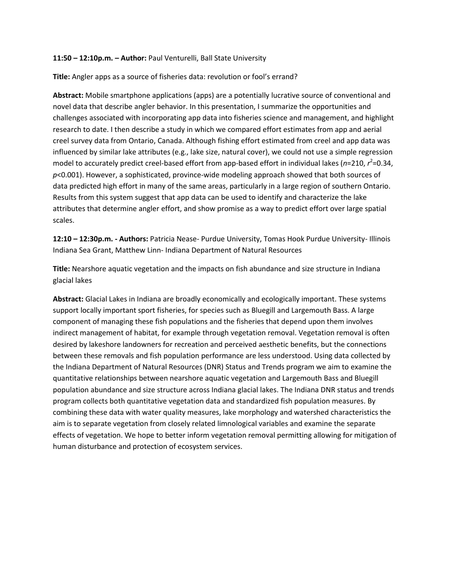#### **11:50 – 12:10p.m. – Author:** Paul Venturelli, Ball State University

**Title:** Angler apps as a source of fisheries data: revolution or fool's errand?

**Abstract:** Mobile smartphone applications (apps) are a potentially lucrative source of conventional and novel data that describe angler behavior. In this presentation, I summarize the opportunities and challenges associated with incorporating app data into fisheries science and management, and highlight research to date. I then describe a study in which we compared effort estimates from app and aerial creel survey data from Ontario, Canada. Although fishing effort estimated from creel and app data was influenced by similar lake attributes (e.g., lake size, natural cover), we could not use a simple regression model to accurately predict creel-based effort from app-based effort in individual lakes (n=210, r<sup>2</sup>=0.34, *p*<0.001). However, a sophisticated, province-wide modeling approach showed that both sources of data predicted high effort in many of the same areas, particularly in a large region of southern Ontario. Results from this system suggest that app data can be used to identify and characterize the lake attributes that determine angler effort, and show promise as a way to predict effort over large spatial scales.

**12:10 – 12:30p.m. - Authors:** Patricia Nease- Purdue University, Tomas Hook Purdue University- Illinois Indiana Sea Grant, Matthew Linn- Indiana Department of Natural Resources

**Title:** Nearshore aquatic vegetation and the impacts on fish abundance and size structure in Indiana glacial lakes

**Abstract:** Glacial Lakes in Indiana are broadly economically and ecologically important. These systems support locally important sport fisheries, for species such as Bluegill and Largemouth Bass. A large component of managing these fish populations and the fisheries that depend upon them involves indirect management of habitat, for example through vegetation removal. Vegetation removal is often desired by lakeshore landowners for recreation and perceived aesthetic benefits, but the connections between these removals and fish population performance are less understood. Using data collected by the Indiana Department of Natural Resources (DNR) Status and Trends program we aim to examine the quantitative relationships between nearshore aquatic vegetation and Largemouth Bass and Bluegill population abundance and size structure across Indiana glacial lakes. The Indiana DNR status and trends program collects both quantitative vegetation data and standardized fish population measures. By combining these data with water quality measures, lake morphology and watershed characteristics the aim is to separate vegetation from closely related limnological variables and examine the separate effects of vegetation. We hope to better inform vegetation removal permitting allowing for mitigation of human disturbance and protection of ecosystem services.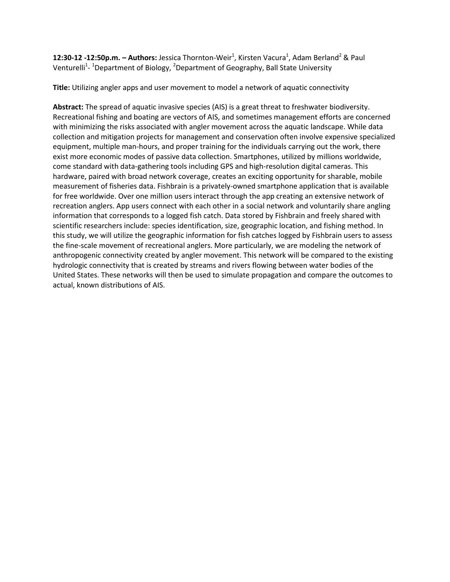**12:30-12 -12:50p.m. – Authors:** Jessica Thornton-Weir<sup>1</sup>, Kirsten Vacura<sup>1</sup>, Adam Berland<sup>2</sup> & Paul Venturelli<sup>1</sup>- <sup>1</sup>Department of Biology, <sup>2</sup>Department of Geography, Ball State University

**Title:** Utilizing angler apps and user movement to model a network of aquatic connectivity

**Abstract:** The spread of aquatic invasive species (AIS) is a great threat to freshwater biodiversity. Recreational fishing and boating are vectors of AIS, and sometimes management efforts are concerned with minimizing the risks associated with angler movement across the aquatic landscape. While data collection and mitigation projects for management and conservation often involve expensive specialized equipment, multiple man-hours, and proper training for the individuals carrying out the work, there exist more economic modes of passive data collection. Smartphones, utilized by millions worldwide, come standard with data-gathering tools including GPS and high-resolution digital cameras. This hardware, paired with broad network coverage, creates an exciting opportunity for sharable, mobile measurement of fisheries data. Fishbrain is a privately-owned smartphone application that is available for free worldwide. Over one million users interact through the app creating an extensive network of recreation anglers. App users connect with each other in a social network and voluntarily share angling information that corresponds to a logged fish catch. Data stored by Fishbrain and freely shared with scientific researchers include: species identification, size, geographic location, and fishing method. In this study, we will utilize the geographic information for fish catches logged by Fishbrain users to assess the fine-scale movement of recreational anglers. More particularly, we are modeling the network of anthropogenic connectivity created by angler movement. This network will be compared to the existing hydrologic connectivity that is created by streams and rivers flowing between water bodies of the United States. These networks will then be used to simulate propagation and compare the outcomes to actual, known distributions of AIS.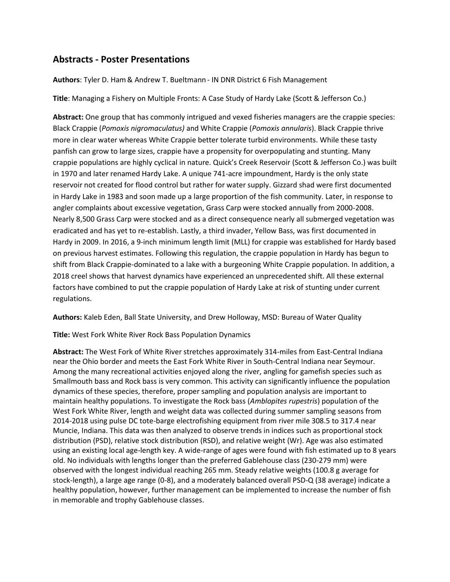# **Abstracts - Poster Presentations**

#### **Authors**: Tyler D. Ham& Andrew T. Bueltmann - IN DNR District 6 Fish Management

**Title**: Managing a Fishery on Multiple Fronts: A Case Study of Hardy Lake (Scott & Jefferson Co.)

**Abstract:** One group that has commonly intrigued and vexed fisheries managers are the crappie species: Black Crappie (*Pomoxis nigromaculatus)* and White Crappie (*Pomoxis annularis*). Black Crappie thrive more in clear water whereas White Crappie better tolerate turbid environments. While these tasty panfish can grow to large sizes, crappie have a propensity for overpopulating and stunting. Many crappie populations are highly cyclical in nature. Quick's Creek Reservoir (Scott & Jefferson Co.) was built in 1970 and later renamed Hardy Lake. A unique 741-acre impoundment, Hardy is the only state reservoir not created for flood control but rather for water supply. Gizzard shad were first documented in Hardy Lake in 1983 and soon made up a large proportion of the fish community. Later, in response to angler complaints about excessive vegetation, Grass Carp were stocked annually from 2000-2008. Nearly 8,500 Grass Carp were stocked and as a direct consequence nearly all submerged vegetation was eradicated and has yet to re-establish. Lastly, a third invader, Yellow Bass, was first documented in Hardy in 2009. In 2016, a 9-inch minimum length limit (MLL) for crappie was established for Hardy based on previous harvest estimates. Following this regulation, the crappie population in Hardy has begun to shift from Black Crappie-dominated to a lake with a burgeoning White Crappie population. In addition, a 2018 creel shows that harvest dynamics have experienced an unprecedented shift. All these external factors have combined to put the crappie population of Hardy Lake at risk of stunting under current regulations.

**Authors:** Kaleb Eden, Ball State University, and Drew Holloway, MSD: Bureau of Water Quality

**Title:** West Fork White River Rock Bass Population Dynamics

**Abstract:** The West Fork of White River stretches approximately 314-miles from East-Central Indiana near the Ohio border and meets the East Fork White River in South-Central Indiana near Seymour. Among the many recreational activities enjoyed along the river, angling for gamefish species such as Smallmouth bass and Rock bass is very common. This activity can significantly influence the population dynamics of these species, therefore, proper sampling and population analysis are important to maintain healthy populations. To investigate the Rock bass (*Amblopites rupestris*) population of the West Fork White River, length and weight data was collected during summer sampling seasons from 2014-2018 using pulse DC tote-barge electrofishing equipment from river mile 308.5 to 317.4 near Muncie, Indiana. This data was then analyzed to observe trends in indices such as proportional stock distribution (PSD), relative stock distribution (RSD), and relative weight (Wr). Age was also estimated using an existing local age-length key. A wide-range of ages were found with fish estimated up to 8 years old. No individuals with lengths longer than the preferred Gablehouse class (230-279 mm) were observed with the longest individual reaching 265 mm. Steady relative weights (100.8 g average for stock-length), a large age range (0-8), and a moderately balanced overall PSD-Q (38 average) indicate a healthy population, however, further management can be implemented to increase the number of fish in memorable and trophy Gablehouse classes.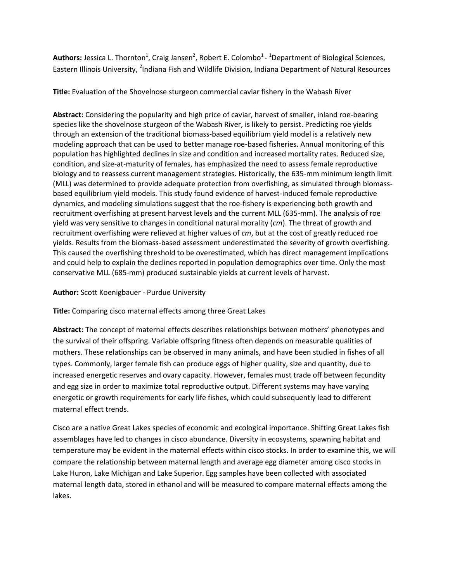Authors: Jessica L. Thornton<sup>1</sup>, Craig Jansen<sup>2</sup>, Robert E. Colombo<sup>1</sup> - <sup>1</sup>Department of Biological Sciences, Eastern Illinois University, <sup>2</sup>Indiana Fish and Wildlife Division, Indiana Department of Natural Resources

**Title:** Evaluation of the Shovelnose sturgeon commercial caviar fishery in the Wabash River

**Abstract:** Considering the popularity and high price of caviar, harvest of smaller, inland roe-bearing species like the shovelnose sturgeon of the Wabash River, is likely to persist. Predicting roe yields through an extension of the traditional biomass-based equilibrium yield model is a relatively new modeling approach that can be used to better manage roe-based fisheries. Annual monitoring of this population has highlighted declines in size and condition and increased mortality rates. Reduced size, condition, and size-at-maturity of females, has emphasized the need to assess female reproductive biology and to reassess current management strategies. Historically, the 635-mm minimum length limit (MLL) was determined to provide adequate protection from overfishing, as simulated through biomassbased equilibrium yield models. This study found evidence of harvest-induced female reproductive dynamics, and modeling simulations suggest that the roe-fishery is experiencing both growth and recruitment overfishing at present harvest levels and the current MLL (635-mm). The analysis of roe yield was very sensitive to changes in conditional natural morality (*cm*). The threat of growth and recruitment overfishing were relieved at higher values of *cm*, but at the cost of greatly reduced roe yields. Results from the biomass-based assessment underestimated the severity of growth overfishing. This caused the overfishing threshold to be overestimated, which has direct management implications and could help to explain the declines reported in population demographics over time. Only the most conservative MLL (685-mm) produced sustainable yields at current levels of harvest.

## **Author:** Scott Koenigbauer - Purdue University

**Title:** Comparing cisco maternal effects among three Great Lakes

**Abstract:** The concept of maternal effects describes relationships between mothers' phenotypes and the survival of their offspring. Variable offspring fitness often depends on measurable qualities of mothers. These relationships can be observed in many animals, and have been studied in fishes of all types. Commonly, larger female fish can produce eggs of higher quality, size and quantity, due to increased energetic reserves and ovary capacity. However, females must trade off between fecundity and egg size in order to maximize total reproductive output. Different systems may have varying energetic or growth requirements for early life fishes, which could subsequently lead to different maternal effect trends.

Cisco are a native Great Lakes species of economic and ecological importance. Shifting Great Lakes fish assemblages have led to changes in cisco abundance. Diversity in ecosystems, spawning habitat and temperature may be evident in the maternal effects within cisco stocks. In order to examine this, we will compare the relationship between maternal length and average egg diameter among cisco stocks in Lake Huron, Lake Michigan and Lake Superior. Egg samples have been collected with associated maternal length data, stored in ethanol and will be measured to compare maternal effects among the lakes.